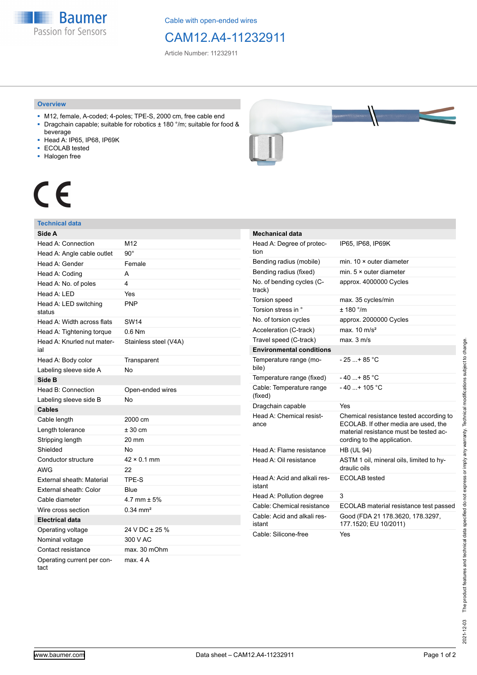**Baumer** Passion for Sensors

Cable with open-ended wires

## CAM12.A4-11232911

Article Number: 11232911

#### **Overview**

- M12, female, A-coded; 4-poles; TPE-S, 2000 cm, free cable end ■ Dragchain capable; suitable for robotics ± 180 °/m; suitable for food &
- beverage
- Head A: IP65, IP68, IP69K
- ECOLAB tested
- Halogen free



# CE

#### **Technical data**

| Side A                             |                       |
|------------------------------------|-----------------------|
| Head A: Connection                 | M12                   |
| Head A: Angle cable outlet         | $90^{\circ}$          |
| Head A: Gender                     | Female                |
| Head A: Coding                     | A                     |
| Head A: No. of poles               | 4                     |
| Head A: LED                        | Yes                   |
| Head A: LED switching<br>status    | <b>PNP</b>            |
| Head A: Width across flats         | <b>SW14</b>           |
| Head A: Tightening torque          | $0.6$ Nm              |
| Head A: Knurled nut mater-<br>ial  | Stainless steel (V4A) |
| Head A: Body color                 | Transparent           |
| Labeling sleeve side A             | <b>No</b>             |
| Side B                             |                       |
| Head B: Connection                 | Open-ended wires      |
| Labeling sleeve side B             | No                    |
| <b>Cables</b>                      |                       |
| Cable length                       | 2000 cm               |
| Length tolerance                   | $± 30$ cm             |
| Stripping length                   | 20 mm                 |
| Shielded                           | <b>No</b>             |
| Conductor structure                | $42 \times 0.1$ mm    |
| AWG                                | 22                    |
| External sheath: Material          | TPE-S                 |
| External sheath: Color             | Blue                  |
| Cable diameter                     | 4.7 mm $\pm$ 5%       |
| Wire cross section                 | $0.34 \, \text{mm}^2$ |
| Electrical data                    |                       |
| Operating voltage                  | 24 V DC ± 25 %        |
| Nominal voltage                    | 300 V AC              |
| Contact resistance                 | max. 30 mOhm          |
| Operating current per con-<br>tact | max. 4 A              |

| <b>Mechanical data</b>                 |                                                                                                                                                          |
|----------------------------------------|----------------------------------------------------------------------------------------------------------------------------------------------------------|
| Head A: Degree of protec-<br>tion      | IP65, IP68, IP69K                                                                                                                                        |
| Bending radius (mobile)                | min. $10 \times$ outer diameter                                                                                                                          |
| Bending radius (fixed)                 | min. $5 \times$ outer diameter                                                                                                                           |
| No. of bending cycles (C-<br>track)    | approx. 4000000 Cycles                                                                                                                                   |
| <b>Torsion speed</b>                   | max. 35 cycles/min                                                                                                                                       |
| Torsion stress in °                    | $± 180$ °/m                                                                                                                                              |
| No. of torsion cycles                  | approx. 2000000 Cycles                                                                                                                                   |
| Acceleration (C-track)                 | max. $10 \text{ m/s}^2$                                                                                                                                  |
| Travel speed (C-track)                 | max. 3 m/s                                                                                                                                               |
| <b>Environmental conditions</b>        |                                                                                                                                                          |
| Temperature range (mo-<br>bile)        | - 25 + 85 °C                                                                                                                                             |
| Temperature range (fixed)              | $-40$ $+85$ °C                                                                                                                                           |
| Cable: Temperature range<br>(fixed)    | $-40+105 °C$                                                                                                                                             |
| Dragchain capable                      | Yes                                                                                                                                                      |
| Head A: Chemical resist-<br>ance       | Chemical resistance tested according to<br>ECOLAB. If other media are used, the<br>material resistance must be tested ac-<br>cording to the application. |
| Head A: Flame resistance               | <b>HB (UL 94)</b>                                                                                                                                        |
| Head A: Oil resistance                 | ASTM 1 oil, mineral oils, limited to hy-<br>draulic oils                                                                                                 |
| Head A: Acid and alkali res-<br>istant | <b>ECOLAB</b> tested                                                                                                                                     |
| Head A: Pollution degree               | 3                                                                                                                                                        |
| Cable: Chemical resistance             | ECOLAB material resistance test passed                                                                                                                   |
| Cable: Acid and alkali res-<br>istant  | Good (FDA 21 178.3620, 178.3297,<br>177.1520; EU 10/2011)                                                                                                |
| Cable: Silicone-free                   | Yes                                                                                                                                                      |